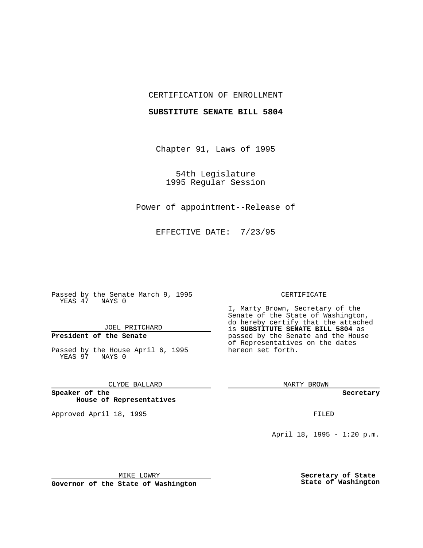## CERTIFICATION OF ENROLLMENT

### **SUBSTITUTE SENATE BILL 5804**

Chapter 91, Laws of 1995

54th Legislature 1995 Regular Session

Power of appointment--Release of

EFFECTIVE DATE: 7/23/95

Passed by the Senate March 9, 1995 YEAS 47 NAYS 0

JOEL PRITCHARD

# **President of the Senate**

Passed by the House April 6, 1995 YEAS 97 NAYS 0

CLYDE BALLARD

**Speaker of the House of Representatives**

Approved April 18, 1995 FILED

#### CERTIFICATE

I, Marty Brown, Secretary of the Senate of the State of Washington, do hereby certify that the attached is **SUBSTITUTE SENATE BILL 5804** as passed by the Senate and the House of Representatives on the dates hereon set forth.

MARTY BROWN

**Secretary**

April 18, 1995 - 1:20 p.m.

MIKE LOWRY

**Governor of the State of Washington**

**Secretary of State State of Washington**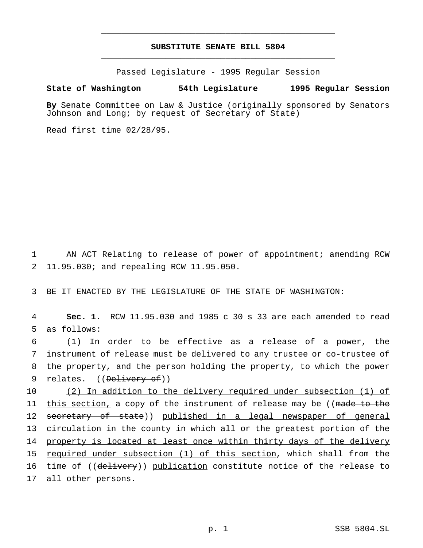## **SUBSTITUTE SENATE BILL 5804** \_\_\_\_\_\_\_\_\_\_\_\_\_\_\_\_\_\_\_\_\_\_\_\_\_\_\_\_\_\_\_\_\_\_\_\_\_\_\_\_\_\_\_\_\_\_\_

\_\_\_\_\_\_\_\_\_\_\_\_\_\_\_\_\_\_\_\_\_\_\_\_\_\_\_\_\_\_\_\_\_\_\_\_\_\_\_\_\_\_\_\_\_\_\_

Passed Legislature - 1995 Regular Session

## **State of Washington 54th Legislature 1995 Regular Session**

**By** Senate Committee on Law & Justice (originally sponsored by Senators Johnson and Long; by request of Secretary of State)

Read first time 02/28/95.

1 AN ACT Relating to release of power of appointment; amending RCW 2 11.95.030; and repealing RCW 11.95.050.

3 BE IT ENACTED BY THE LEGISLATURE OF THE STATE OF WASHINGTON:

4 **Sec. 1.** RCW 11.95.030 and 1985 c 30 s 33 are each amended to read 5 as follows:

 (1) In order to be effective as a release of a power, the instrument of release must be delivered to any trustee or co-trustee of the property, and the person holding the property, to which the power 9 relates. ((Delivery of))

10 (2) In addition to the delivery required under subsection (1) of 11 this section, a copy of the instrument of release may be ((made to the 12 secretary of state)) published in a legal newspaper of general 13 circulation in the county in which all or the greatest portion of the 14 property is located at least once within thirty days of the delivery 15 required under subsection (1) of this section, which shall from the 16 time of ((delivery)) publication constitute notice of the release to 17 all other persons.